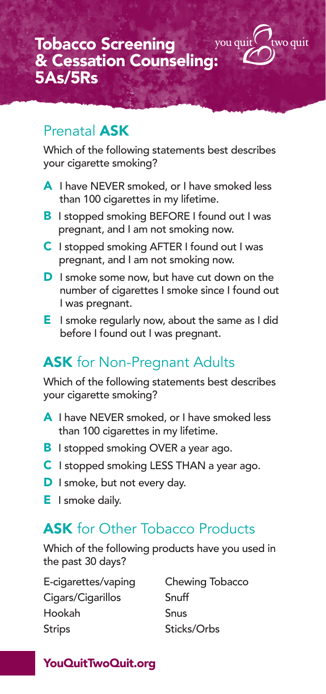### Prenatal ASK

Which of the following statements best describes your cigarette smoking?

wo quit

- A I have NEVER smoked, or I have smoked less than 100 cigarettes in my lifetime.
- **B** I stopped smoking BEFORE I found out I was pregnant, and I am not smoking now.
- C I stopped smoking AFTER I found out I was pregnant, and I am not smoking now.
- **D** I smoke some now, but have cut down on the number of cigarettes I smoke since I found out I was pregnant.
- E I smoke regularly now, about the same as I did before I found out I was pregnant.

## **ASK** for Non-Pregnant Adults

Which of the following statements best describes your cigarette smoking?

- A I have NEVER smoked, or I have smoked less than 100 cigarettes in my lifetime.
- **B** I stopped smoking OVER a year ago.
- C I stopped smoking LESS THAN a year ago.
- D I smoke, but not every day.
- **E** I smoke daily.

## **ASK** for Other Tobacco Products

Which of the following products have you used in the past 30 days?

E-cigarettes/vaping Cigars/Cigarillos Hookah Strips

Chewing Tobacco Snuff Snus Sticks/Orbs

#### YouQuitTwoQuit.org